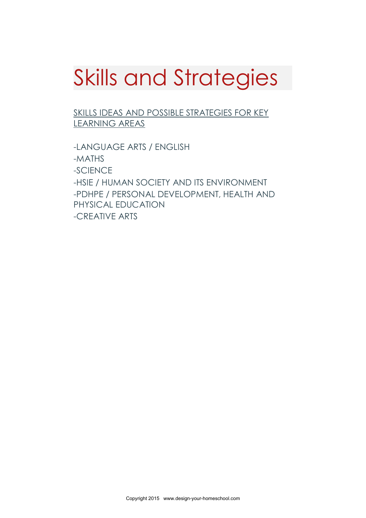# Skills and Strategies

SKILLS IDEAS AND POSSIBLE STRATEGIES FOR KEY LEARNING AREAS

-LANGUAGE ARTS / ENGLISH -MATHS -SCIENCE -HSIE / HUMAN SOCIETY AND ITS ENVIRONMENT -PDHPE / PERSONAL DEVELOPMENT, HEALTH AND PHYSICAL EDUCATION -CREATIVE ARTS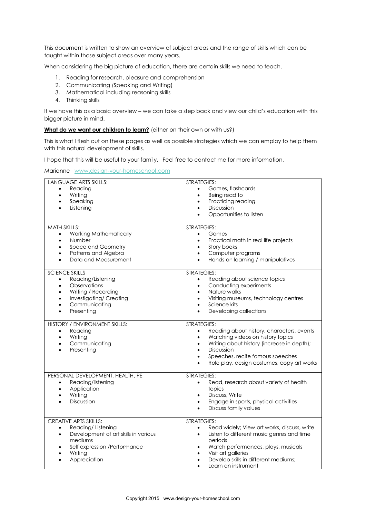This document is written to show an overview of subject areas and the range of skills which can be taught within those subject areas over many years.

When considering the big picture of education, there are certain skills we need to teach.

- 1. Reading for research, pleasure and comprehension
- 2. Communicating (Speaking and Writing)
- 3. Mathematical including reasoning skills
- 4. Thinking skills

If we have this as a basic overview – we can take a step back and view our child's education with this bigger picture in mind.

#### What do we want our children to learn? (either on their own or with us?)

This is what I flesh out on these pages as well as possible strategies which we can employ to help them with this natural development of skills.

I hope that this will be useful to your family. Feel free to contact me for more information.

Marianne [www.design-your-homeschool.com](http://www.design-your-homeschool.com/)

| <b>LANGUAGE ARTS SKILLS:</b><br>Reading<br>$\bullet$<br>Writing<br>$\bullet$<br>Speaking<br>$\bullet$<br>Listening                                                                              | <b>STRATEGIES:</b><br>Games, flashcards<br>$\bullet$<br>Being read to<br>$\bullet$<br>Practicing reading<br>$\bullet$<br>Discussion<br>$\bullet$<br>Opportunities to listen<br>$\bullet$                                                                                                                            |
|-------------------------------------------------------------------------------------------------------------------------------------------------------------------------------------------------|---------------------------------------------------------------------------------------------------------------------------------------------------------------------------------------------------------------------------------------------------------------------------------------------------------------------|
| <b>MATH SKILLS:</b><br>Working Mathematically<br>$\bullet$<br>Number<br>$\bullet$<br>Space and Geometry<br>Patterns and Algebra<br>Data and Measurement                                         | STRATEGIES:<br>Games<br>$\bullet$<br>Practical math in real life projects<br>$\bullet$<br>Story books<br>$\bullet$<br>Computer programs<br>$\bullet$<br>Hands on learning / manipulatives<br>$\bullet$                                                                                                              |
| <b>SCIENCE SKILLS</b><br>Reading/Listening<br>$\bullet$<br>Observations<br>$\bullet$<br>Writing / Recording<br>$\bullet$<br>Investigating/ Creating<br>$\bullet$<br>Communicating<br>Presenting | <b>STRATEGIES:</b><br>Reading about science topics<br>$\bullet$<br>Conducting experiments<br>$\bullet$<br>Nature walks<br>$\bullet$<br>Visiting museums, technology centres<br>$\bullet$<br>Science kits<br>$\bullet$<br>Developing collections<br>$\bullet$                                                        |
| HISTORY / ENVIRONMENT SKILLS:<br>Reading<br>$\bullet$<br>Writing<br>$\bullet$<br>Communicating<br>Presenting                                                                                    | <b>STRATEGIES:</b><br>Reading about history, characters, events<br>$\bullet$<br>Watching videos on history topics<br>$\bullet$<br>Writing about history (increase in depth);<br>$\bullet$<br>Discussion<br>$\bullet$<br>Speeches, recite famous speeches<br>$\bullet$<br>Role play, design costumes, copy art works |
| PERSONAL DEVELOPMENT, HEALTH, PE<br>Reading/listening<br>$\bullet$<br>Application<br>$\bullet$<br>Writing<br>Discussion                                                                         | STRATEGIES:<br>Read, research about variety of health<br>$\bullet$<br>topics<br>Discuss, Write<br>$\bullet$<br>Engage in sports, physical activities<br>$\bullet$<br>Discuss family values<br>$\bullet$                                                                                                             |
| <b>CREATIVE ARTS SKILLS:</b><br>Reading/Listening<br>$\bullet$<br>Development of art skills in various<br>$\bullet$<br>mediums<br>Self expression /Performance<br>Writing<br>Appreciation       | STRATEGIES:<br>Read widely; View art works, discuss, write<br>$\bullet$<br>Listen to different music genres and time<br>$\bullet$<br>periods<br>Watch performances, plays, musicals<br>٠<br>Visit art galleries<br>Develop skills in different mediums;<br>Learn an instrument                                      |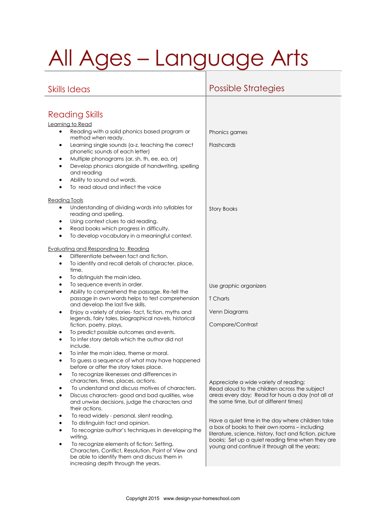# All Ages – Language Arts

## Skills Ideas Possible Strategies

| <b>Reading Skills</b>                                                                                                                                |                                                                                                             |
|------------------------------------------------------------------------------------------------------------------------------------------------------|-------------------------------------------------------------------------------------------------------------|
| Learning to Read                                                                                                                                     |                                                                                                             |
| Reading with a solid phonics based program or<br>٠<br>method when ready.                                                                             | Phonics games                                                                                               |
| Learning single sounds (a-z, teaching the correct<br>٠<br>phonetic sounds of each letter)                                                            | <b>Flashcards</b>                                                                                           |
| Multiple phonograms (ar, sh, th, ee, ea, or)<br>$\bullet$                                                                                            |                                                                                                             |
| Develop phonics alongside of handwriting, spelling<br>$\bullet$<br>and reading                                                                       |                                                                                                             |
| Ability to sound out words.                                                                                                                          |                                                                                                             |
| To read aloud and inflect the voice                                                                                                                  |                                                                                                             |
| <b>Reading Tools</b>                                                                                                                                 |                                                                                                             |
| Understanding of dividing words into syllables for<br>reading and spelling.                                                                          | <b>Story Books</b>                                                                                          |
| Using context clues to aid reading.<br>٠                                                                                                             |                                                                                                             |
| Read books which progress in difficulty.                                                                                                             |                                                                                                             |
| To develop vocabulary in a meaningful context.<br>$\bullet$                                                                                          |                                                                                                             |
| Evaluating and Responding to Reading                                                                                                                 |                                                                                                             |
| Differentiate between fact and fiction.                                                                                                              |                                                                                                             |
| To identify and recall details of character, place,<br>time.                                                                                         |                                                                                                             |
| To distinguish the main idea.<br>$\bullet$                                                                                                           |                                                                                                             |
| To sequence events in order.<br>$\bullet$                                                                                                            | Use graphic organizers                                                                                      |
| Ability to comprehend the passage. Re-tell the<br>$\bullet$<br>passage in own words helps to test comprehension<br>and develop the last five skills. | T Charts                                                                                                    |
| Enjoy a variety of stories-fact, fiction, myths and<br>٠                                                                                             | Venn Diagrams                                                                                               |
| legends, fairy tales, biographical novels, historical<br>fiction, poetry, plays,                                                                     | Compare/Contrast                                                                                            |
| To predict possible outcomes and events.<br>٠                                                                                                        |                                                                                                             |
| To infer story details which the author did not<br>$\bullet$<br>include.                                                                             |                                                                                                             |
| To infer the main idea, theme or moral.                                                                                                              |                                                                                                             |
| To guess a sequence of what may have happened<br>before or after the story takes place.                                                              |                                                                                                             |
| To recognize likenesses and differences in<br>characters, times, places, actions.                                                                    |                                                                                                             |
| To understand and discuss motives of characters.                                                                                                     | Appreciate a wide variety of reading;<br>Read aloud to the children across the subject                      |
| Discuss characters-good and bad qualities, wise                                                                                                      | areas every day; Read for hours a day (not all at                                                           |
| and unwise decisions, judge the characters and<br>their actions.                                                                                     | the same time, but at different times)                                                                      |
| To read widely - personal, silent reading.                                                                                                           | Have a quiet time in the day where children take                                                            |
| To distinguish fact and opinion.                                                                                                                     | a box of books to their own rooms – including                                                               |
| To recognize author's techniques in developing the<br>writing.                                                                                       | literature, science, history, fact and fiction, picture<br>books; Set up a quiet reading time when they are |
| To recognize elements of fiction: Setting,<br>Characters, Conflict, Resolution, Point of View and                                                    | young and continue it through all the years;                                                                |
| be able to identify them and discuss them in                                                                                                         |                                                                                                             |
| increasing depth through the years.                                                                                                                  |                                                                                                             |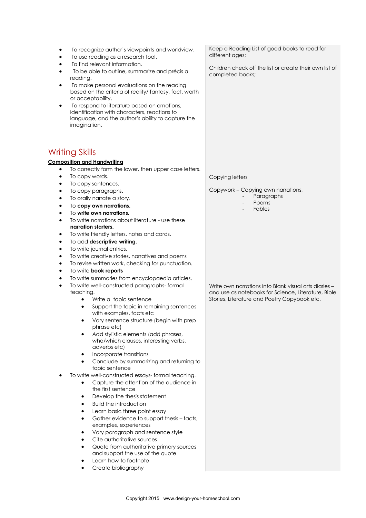To recognize author's viewpoints and worldview. To use reading as a research tool. To find relevant information. To be able to outline, summarize and précis a reading. To make personal evaluations on the reading based on the criteria of reality/ fantasy, fact, worth or acceptability. To respond to literature based on emotions, identification with characters, reactions to language, and the author's ability to capture the imagination. Writing Skills **Composition and Handwriting** To correctly form the lower, then upper case letters. To copy words. • To copy sentences. To copy paragraphs. To orally narrate a story. To **copy own narrations.** To **write own narrations.** To write narrations about literature - use these **narration starters.** To write friendly letters, notes and cards. To add **descriptive writing.** To write journal entries. To write creative stories, narratives and poems To revise written work, checking for punctuation. To write **book reports** To write summaries from encyclopaedia articles. To write well-constructed paragraphs- formal teaching. Write a topic sentence Support the topic in remaining sentences with examples, facts etc Vary sentence structure (begin with prep phrase etc) Add stylistic elements (add phrases, who/which clauses, interesting verbs, adverbs etc) Incorporate transitions Conclude by summarizing and returning to topic sentence To write well-constructed essays- formal teaching. Capture the attention of the audience in the first sentence Develop the thesis statement Build the introduction Learn basic three point essay Gather evidence to support thesis – facts, examples, experiences Vary paragraph and sentence style Cite authoritative sources Quote from authoritative primary sources and support the use of the quote Learn how to footnote Create bibliography Keep a Reading List of good books to read for different ages; Children check off the list or create their own list of completed books; Copying letters Copywork – Copying own narrations, Paragraphs Poems **Fables** Write own narrations into Blank visual arts diaries – and use as notebooks for Science, Literature, Bible Stories, Literature and Poetry Copybook etc.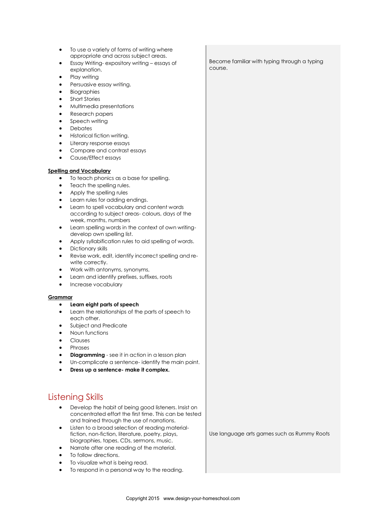- To use a variety of forms of writing where appropriate and across subject areas.
- Essay Writing- expository writing essays of explanation.
- Play writing
- Persuasive essay writing.
- Biographies
- Short Stories
- Multimedia presentations
- Research papers
- Speech writing
- **Debates**
- Historical fiction writing.
- Literary response essays
- Compare and contrast essays
- Cause/Effect essays

#### **Spelling and Vocabulary**

- To teach phonics as a base for spelling.
- Teach the spelling rules.
- Apply the spelling rules
- Learn rules for adding endings.
- Learn to spell vocabulary and content words according to subject areas- colours, days of the week, months, numbers
- Learn spelling words in the context of own writingdevelop own spelling list.
- Apply syllabification rules to aid spelling of words.
- Dictionary skills
- Revise work, edit, identify incorrect spelling and rewrite correctly.
- Work with antonyms, synonyms,
- Learn and identify prefixes, suffixes, roots
- Increase vocabulary

#### **Grammar**

#### **Learn eight parts of speech**

- Learn the relationships of the parts of speech to each other.
- Subject and Predicate
- Noun functions
- Clauses
- Phrases
- **Diagramming** see it in action in a lesson plan
- Un-complicate a sentence- identify the main point.
- **Dress up a sentence- make it complex.**

#### Listening Skills

- Develop the habit of being good listeners. Insist on concentrated effort the first time. This can be tested and trained through the use of narrations.
- Listen to a broad selection of reading materialfiction, non-fiction, literature, poetry, plays, biographies, tapes, CDs, sermons, music.
- Narrate after one reading of the material.
- To follow directions.
- To visualize what is being read.
- To respond in a personal way to the reading.

Become familiar with typing through a typing course.

Use language arts games such as Rummy Roots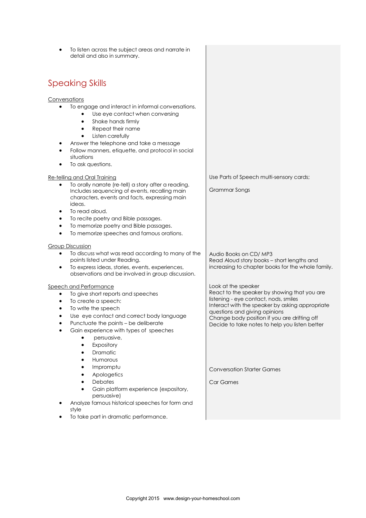To listen across the subject areas and narrate in detail and also in summary. Speaking Skills Conversations • To engage and interact in informal conversations. Use eye contact when conversing Shake hands firmly Repeat their name Listen carefully Answer the telephone and take a message Follow manners, etiquette, and protocol in social situations • To ask questions. Re-telling and Oral Training To orally narrate (re-tell) a story after a reading. Includes sequencing of events, recalling main characters, events and facts, expressing main ideas. To read aloud. To recite poetry and Bible passages. To memorize poetry and Bible passages. To memorize speeches and famous orations. Group Discussion To discuss what was read according to many of the points listed under Reading. To express ideas, stories, events, experiences, observations and be involved in group discussion. Speech and Performance • To give short reports and speeches To create a speech: • To write the speech Use eye contact and correct body language Punctuate the points – be deliberate Gain experience with types of speeches persuasive, Expository Dramatic Humorous Impromptu Apologetics **Debates**  Gain platform experience (expository, persuasive) Analyze famous historical speeches for form and style To take part in dramatic performance. Use Parts of Speech multi-sensory cards; Grammar Songs Audio Books on CD/ MP3 Read Aloud story books – short lengths and increasing to chapter books for the whole family. Look at the speaker React to the speaker by showing that you are listening - eye contact, nods, smiles Interact with the speaker by asking appropriate questions and giving opinions Change body position if you are drifting off Decide to take notes to help you listen better Conversation Starter Games Car Games

Copyright 2015 www.design-your-homeschool.com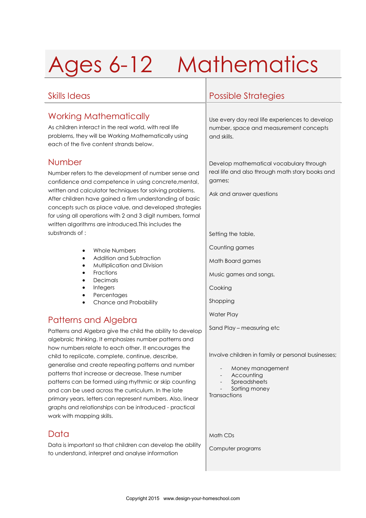# Ages 6-12 Mathematics

### Working Mathematically

As children interact in the real world, with real life problems, they will be Working Mathematically using each of the five content strands below.

#### Number

Number refers to the development of number sense and confidence and competence in using concrete,mental, written and calculator techniques for solving problems. After children have gained a firm understanding of basic concepts such as place value, and developed strategies for using all operations with 2 and 3 digit numbers, formal written algorithms are introduced.This includes the substrands of :

- Whole Numbers
- Addition and Subtraction
- Multiplication and Division
- Fractions
- Decimals
- Integers
- **Percentages**
- Chance and Probability

## Patterns and Algebra

Patterns and Algebra give the child the ability to develop algebraic thinking. It emphasizes number patterns and how numbers relate to each other. It encourages the child to replicate, complete, continue, describe, generalise and create repeating patterns and number patterns that increase or decrease. These number patterns can be formed using rhythmic or skip counting and can be used across the curriculum. In the late primary years, letters can represent numbers. Also, linear graphs and relationships can be introduced - practical work with mapping skills.

### Data

Data is important so that children can develop the ability to understand, interpret and analyse information

### Skills Ideas Possible Strategies

Use every day real life experiences to develop number, space and measurement concepts and skills.

Develop mathematical vocabulary through real life and also through math story books and games;

Ask and answer questions

Setting the table,

Counting games

Math Board games

Music games and songs,

Cooking

Shopping

Water Play

Sand Play – measuring etc

Involve children in family or personal businesses;

- Money management
- Accounting
- **Spreadsheets**

Sorting money

**Transactions** 

Math CDs

Computer programs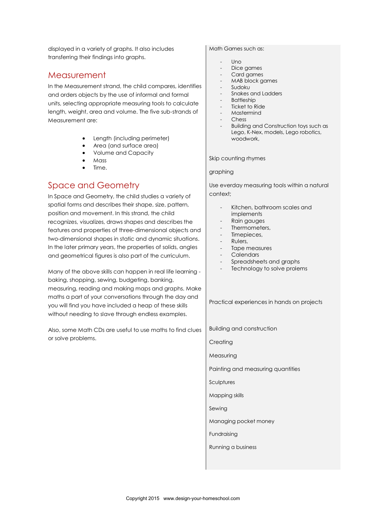displayed in a variety of graphs. It also includes transferring their findings into graphs.

#### Measurement

In the Measurement strand, the child compares, identifies and orders objects by the use of informal and formal units, selecting appropriate measuring tools to calculate length, weight, area and volume. The five sub-strands of Measurement are:

- Length (including perimeter)
- Area (and surface area)
- Volume and Capacity
- Mass
- Time.

#### Space and Geometry

In Space and Geometry, the child studies a variety of spatial forms and describes their shape, size, pattern, position and movement. In this strand, the child recognizes, visualizes, draws shapes and describes the features and properties of three-dimensional objects and two-dimensional shapes in static and dynamic situations. In the later primary years, the properties of solids, angles and geometrical figures is also part of the curriculum.

Many of the above skills can happen in real life learning baking, shopping, sewing, budgeting, banking, measuring, reading and making maps and graphs. Make maths a part of your conversations through the day and you will find you have included a heap of these skills without needing to slave through endless examples.

Also, some Math CDs are useful to use maths to find clues or solve problems.

Math Games such as:

- $\mathsf{IIn}$
- Dice games
- Card games
- MAB block games
- Sudoku
- Snakes and Ladders
- **Battleship**
- Ticket to Ride - Mastermind
- 
- Chess
- Building and Construction toys such as Lego, K-Nex, models, Lego robotics, woodwork,

Skip counting rhymes

#### graphing

Use everday measuring tools within a natural context;

- Kitchen, bathroom scales and implements
- Rain gauges
- Thermometers,
- Timepieces,
- Rulers,
- Tape measures
- **Calendars**
- Spreadsheets and graphs
- Technology to solve prolems

Practical experiences in hands on projects

Building and construction

**Creating** 

Measuring

Painting and measuring quantities

Sculptures

Mapping skills

Sewing

Managing pocket money

Fundraising

Running a business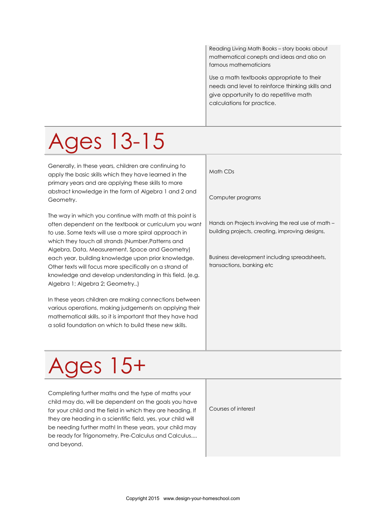Reading Living Math Books – story books about mathematical conepts and ideas and also on famous mathematicians

Use a math textbooks appropriate to their needs and level to reinforce thinking skills and give opportunity to do repetitive math calculations for practice.

# Ages 13-15

Generally, in these years, children are continuing to apply the basic skills which they have learned in the primary years and are applying these skills to more abstract knowledge in the form of Algebra 1 and 2 and Geometry.

The way in which you continue with math at this point is often dependent on the textbook or curriculum you want to use. Some texts will use a more spiral approach in which they touch all strands (Number,Patterns and Algebra, Data, Measurement, Space and Geometry) each year, building knowledge upon prior knowledge. Other texts will focus more specifically on a strand of knowledge and develop understanding in this field. (e.g. Algebra 1; Algebra 2; Geometry..)

In these years children are making connections between various operations, making judgements on applying their mathematical skills, so it is important that they have had a solid foundation on which to build these new skills.

Math CDs

Computer programs

Hands on Projects involving the real use of math – building projects, creating, improving designs,

Business development including spreadsheets, transactions, banking etc

# Ages 15+

Completing further maths and the type of maths your child may do, will be dependent on the goals you have for your child and the field in which they are heading. If they are heading in a scientific field, yes, your child will be needing further math! In these years, your child may be ready for Trigonometry, Pre-Calculus and Calculus.... and beyond.

Courses of interest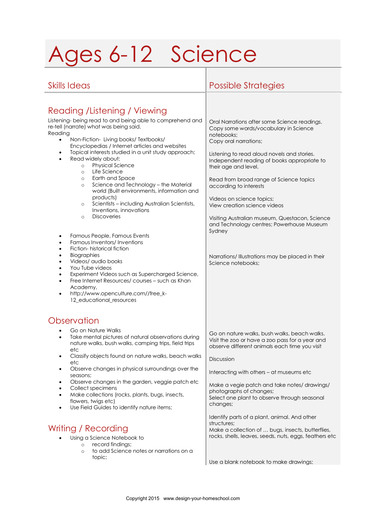# Ages 6-12 Science

| Oral Narrations after some Science readings.<br>Copy some words/vocabulary in Science<br>notebooks;<br>Copy oral narrations;<br>Listening to read aloud novels and stories.<br>Independent reading of books appropriate to<br>their age and level.<br>Read from broad range of Science topics<br>according to interests<br>Videos on science topics;<br>View creation science videos<br>Visiting Australian museum, Questacon, Science<br>and Technology centres; Powerhouse Museum<br>Sydney<br>Narrations/ Illustrations may be placed in their<br>Science notebooks: |
|-------------------------------------------------------------------------------------------------------------------------------------------------------------------------------------------------------------------------------------------------------------------------------------------------------------------------------------------------------------------------------------------------------------------------------------------------------------------------------------------------------------------------------------------------------------------------|
| Go on nature walks, bush walks, beach walks.<br>Visit the zoo or have a zoo pass for a year and<br>observe different animals each time you visit<br>Discussion<br>Interacting with others - at museums etc<br>Make a vegie patch and take notes/ drawings/<br>photographs of changes;<br>Select one plant to observe through seasonal<br>changes;<br>Identify parts of a plant, animal. And other<br>structures:<br>Make a collection of  bugs, insects, butterflies,<br>rocks, shells, leaves, seeds, nuts, eggs, feathers etc                                         |
|                                                                                                                                                                                                                                                                                                                                                                                                                                                                                                                                                                         |

Use a blank notebook to make drawings;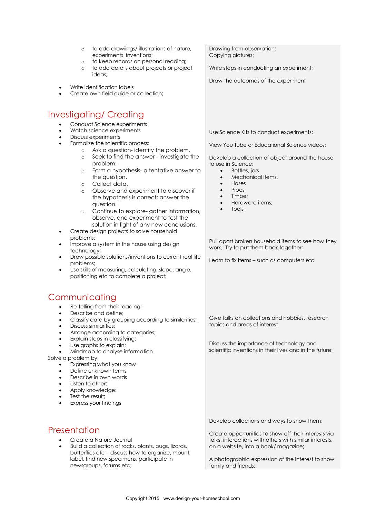| to add drawiings/illustrations of nature,<br>$\circ$<br>experiments, inventions;<br>to keep records on personal reading;<br>$\circ$<br>to add details about projects or project<br>$\circ$<br>ideas;                                                                                                                                                                                                                                                                                             | Drawing from observation;<br>Copying pictures;<br>Write steps in conducting an experiment;                                                                                                                                                                                                                                       |
|--------------------------------------------------------------------------------------------------------------------------------------------------------------------------------------------------------------------------------------------------------------------------------------------------------------------------------------------------------------------------------------------------------------------------------------------------------------------------------------------------|----------------------------------------------------------------------------------------------------------------------------------------------------------------------------------------------------------------------------------------------------------------------------------------------------------------------------------|
| Write identification labels<br>Create own field guide or collection;                                                                                                                                                                                                                                                                                                                                                                                                                             | Draw the outcomes of the experiment                                                                                                                                                                                                                                                                                              |
| Investigating/Creating                                                                                                                                                                                                                                                                                                                                                                                                                                                                           |                                                                                                                                                                                                                                                                                                                                  |
| Conduct Science experiments<br>Watch science experiments<br>$\bullet$<br>Discuss experiments<br>$\bullet$<br>Formalize the scientific process:<br>$\bullet$<br>Ask a question-identify the problem.<br>$\circ$<br>Seek to find the answer - investigate the<br>$\circ$<br>problem.<br>Form a hypothesis- a tentative answer to<br>$\circ$<br>the question.<br>Collect data.<br>$\circ$<br>Observe and experiment to discover if<br>$\circ$<br>the hypothesis is correct; answer the<br>question. | Use Science Kits to conduct experiments;<br>View You Tube or Educational Science videos;<br>Develop a collection of object around the house<br>to use in Science:<br>Bottles, jars<br>$\bullet$<br>Mechanical items,<br>$\bullet$<br>Hoses<br>$\bullet$<br>Pipes<br>$\bullet$<br>Timber<br>Hardware items;<br>$\bullet$<br>Tools |
| Continue to explore-gather information,<br>$\circ$<br>observe, and experiment to test the<br>solution in light of any new conclusions.<br>Create design projects to solve household<br>٠<br>problems;<br>Improve a system in the house using design<br>٠<br>technology;<br>Draw possible solutions/inventions to current real life<br>٠<br>problems;<br>Use skills of measuring, calculating, slope, angle,<br>٠<br>positioning etc to complete a project;                                       | Pull apart broken household items to see how they<br>work; Try to put them back together;<br>Learn to fix items - such as computers etc                                                                                                                                                                                          |
| Communicating                                                                                                                                                                                                                                                                                                                                                                                                                                                                                    |                                                                                                                                                                                                                                                                                                                                  |
| Re-telling from their reading;<br>Describe and define;<br>$\bullet$<br>Classify data by grouping according to similarities;<br>Discuss similarities:<br>Arrange according to categories;<br>Explain steps in classifying;<br>Use graphs to explain;                                                                                                                                                                                                                                              | Give talks on collections and hobbies, research<br>topics and areas of interest<br>Discuss the importance of technology and                                                                                                                                                                                                      |
| Mindmap to analyse information<br>Solve a problem by:<br>Expressing what you know<br>Define unknown terms<br>Describe in own words<br>Listen to others<br>Apply knowledge;<br>Test the result;<br>Express your findings                                                                                                                                                                                                                                                                          | scientific inventions in their lives and in the future:                                                                                                                                                                                                                                                                          |
| Presentation<br>Create a Nature Journal<br>Build a collection of rocks, plants, bugs, lizards,<br>$\bullet$<br>butterflies etc - discuss how to organize, mount,<br>label, find new specimens, participate in<br>newsgroups, forums etc;                                                                                                                                                                                                                                                         | Develop collections and ways to show them;<br>Create opportunities to show off their interests via<br>talks, interactions with others with similar interests,<br>on a website, into a book/magazine;<br>A photographic expression of the interest to show<br>family and friends;                                                 |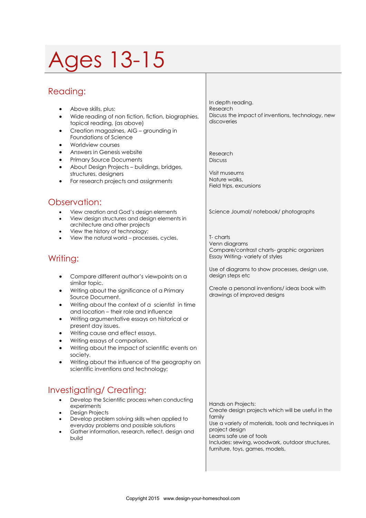# 1es 13-15

### Reading:

- Above skills, plus:
- Wide reading of non fiction, fiction, biographies, topical reading, (as above)
- Creation magazines, AIG grounding in Foundations of Science
- Worldview courses
- Answers in Genesis website
- Primary Source Documents
- About Design Projects buildings, bridges, structures, designers
- For research projects and assignments

#### Observation:

- View creation and God's design elements
- View design structures and design elements in architecture and other projects
- View the history of technology;
- View the natural world processes, cycles,

### Writing:

- Compare different author's viewpoints on a similar topic.
- Writing about the significance of a Primary Source Document.
- Writing about the context of a scientist in time and location – their role and influence
- Writing argumentative essays on historical or present day issues.
- Writing cause and effect essays.
- Writing essays of comparison.
- Writing about the impact of scientific events on society.
- Writing about the influence of the geography on scientific inventions and technology;

## Investigating/ Creating:

- Develop the Scientific process when conducting experiments
- Design Projects
- Develop problem solving skills when applied to everyday problems and possible solutions
- Gather information, research, reflect, design and build

In depth reading. Research Discuss the impact of inventions, technology, new discoveries

Research **Discuss** 

Visit museums Nature walks, Field trips, excursions

Science Journal/ notebook/ photographs

T- charts Venn diagrams Compare/contrast charts- graphic organizers Essay Writing- variety of styles

Use of diagrams to show processes, design use, design steps etc

Create a personal inventions/ ideas book with drawings of improved designs

Hands on Projects: Create design projects which will be useful in the family Use a variety of materials, tools and techniques in project design Learns safe use of tools Includes: sewing, woodwork, outdoor structures, furniture, toys, games, models,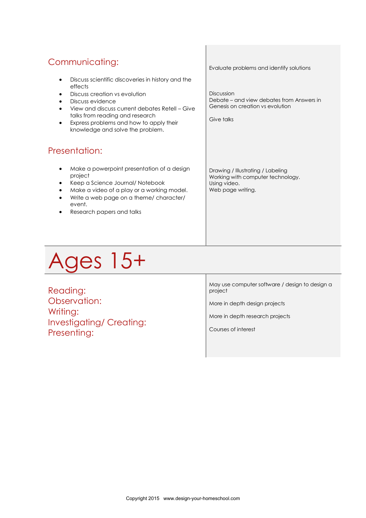| Communicating:                                                                                                                                                                                                                                                                                       | Evaluate problems and identify solutions                                                                    |
|------------------------------------------------------------------------------------------------------------------------------------------------------------------------------------------------------------------------------------------------------------------------------------------------------|-------------------------------------------------------------------------------------------------------------|
| Discuss scientific discoveries in history and the<br>٠<br>effects<br>Discuss creation vs evolution<br>٠<br>Discuss evidence<br>٠<br>View and discuss current debates Retell – Give<br>talks from reading and research<br>Express problems and how to apply their<br>knowledge and solve the problem. | Discussion<br>Debate – and view debates from Answers in<br>Genesis on creation vs evolution<br>Give talks   |
| Presentation:                                                                                                                                                                                                                                                                                        |                                                                                                             |
| Make a powerpoint presentation of a design<br>٠<br>project<br>Keep a Science Journal/Notebook<br>Make a video of a play or a working model.<br>Write a web page on a theme/ character/<br>event.<br>Research papers and talks                                                                        | Drawing / Illustrating / Labeling<br>Working with computer technology.<br>Using video.<br>Web page writing. |

 $\mathbb{L}$ 

# Ages 15+

Reading: Observation: Writing: Investigating/ Creating: Presenting:

May use computer software / design to design a project

More in depth design projects

More in depth research projects

Courses of interest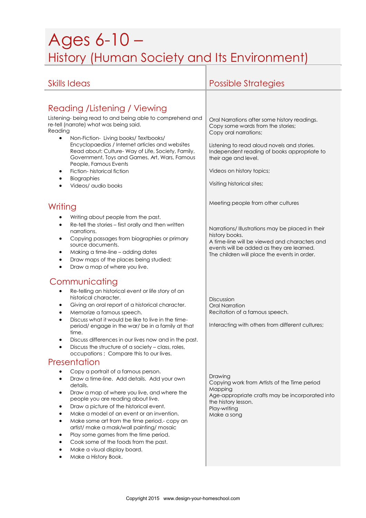## Ages 6-10 – History (Human Society and Its Environment)

| <b>Skills Ideas</b>                                                                                                                                                                                                                                                                                                                                                                                                                                                                                                                                                                                                                                                                                                                                                                                                                                                                                                                                                                                                                                                                 | <b>Possible Strategies</b>                                                                                                                                                                                                                                                                               |
|-------------------------------------------------------------------------------------------------------------------------------------------------------------------------------------------------------------------------------------------------------------------------------------------------------------------------------------------------------------------------------------------------------------------------------------------------------------------------------------------------------------------------------------------------------------------------------------------------------------------------------------------------------------------------------------------------------------------------------------------------------------------------------------------------------------------------------------------------------------------------------------------------------------------------------------------------------------------------------------------------------------------------------------------------------------------------------------|----------------------------------------------------------------------------------------------------------------------------------------------------------------------------------------------------------------------------------------------------------------------------------------------------------|
| Reading / Listening / Viewing<br>Listening- being read to and being able to comprehend and<br>re-tell (narrate) what was being said.<br>Reading<br>$\bullet$<br>Non-Fiction- Living books/ Textbooks/<br>Encyclopaedias / Internet articles and websites<br>Read about: Culture- Way of Life, Society, Family,<br>Government, Toys and Games, Art, Wars, Famous<br>People, Famous Events<br>Fiction-historical fiction<br>٠<br>Biographies<br>$\bullet$<br>Videos/ audio books<br>$\bullet$                                                                                                                                                                                                                                                                                                                                                                                                                                                                                                                                                                                         | Oral Narrations after some history readings.<br>Copy some words from the stories;<br>Copy oral narrations;<br>Listening to read aloud novels and stories.<br>Independent reading of books appropriate to<br>their age and level.<br>Videos on history topics;<br>Visiting historical sites;              |
| Writing                                                                                                                                                                                                                                                                                                                                                                                                                                                                                                                                                                                                                                                                                                                                                                                                                                                                                                                                                                                                                                                                             | Meeting people from other cultures                                                                                                                                                                                                                                                                       |
| Writing about people from the past.<br>Re-tell the stories - first orally and then written<br>٠<br>narrations.<br>Copying passages from biographies or primary<br>$\bullet$<br>source documents.<br>Making a time-line - adding dates<br>٠<br>Draw maps of the places being studied;<br>$\bullet$<br>Draw a map of where you live.<br>$\bullet$                                                                                                                                                                                                                                                                                                                                                                                                                                                                                                                                                                                                                                                                                                                                     | Narrations/ Illustrations may be placed in their<br>history books.<br>A time-line will be viewed and characters and<br>events will be added as they are learned.<br>The children will place the events in order.                                                                                         |
| Communicating<br>Re-telling an historical event or life story of an<br>٠<br>historical character.<br>Giving an oral report of a historical character.<br>٠<br>Memorize a famous speech.<br>٠<br>Discuss what it would be like to live in the time-<br>$\bullet$<br>period/engage in the war/be in a family at that<br>time.<br>Discuss differences in our lives now and in the past.<br>٠<br>Discuss the structure of a society - class, roles,<br>٠<br>occupations; Compare this to our lives.<br>Presentation<br>Copy a portrait of a famous person.<br>Draw a time-line. Add details. Add your own<br>$\bullet$<br>details.<br>Draw a map of where you live, and where the<br>$\bullet$<br>people you are reading about live.<br>Draw a picture of the historical event.<br>٠<br>Make a model of an event or an invention.<br>٠<br>Make some art from the time period.- copy an<br>٠<br>artist/ make a mask/wall painting/ mosaic<br>Play some games from the time period.<br>٠<br>Cook some of the foods from the past.<br>Make a visual display board.<br>Make a History Book. | Discussion<br><b>Oral Narration</b><br>Recitation of a famous speech.<br>Interacting with others from different cultures;<br>Drawing<br>Copying work from Artists of the Time period<br>Mapping<br>Age-appropriate crafts may be incorporated into<br>the history lesson.<br>Play-writing<br>Make a song |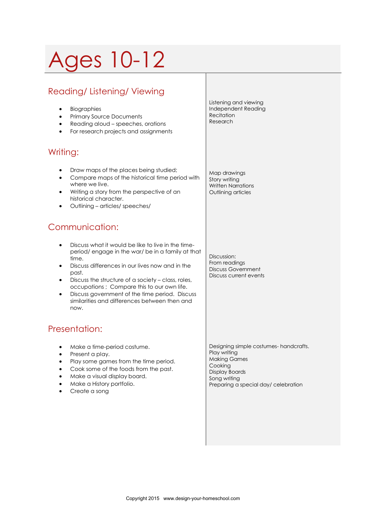# Ages 10-12

## Reading/ Listening/ Viewing

- **•** Biographies
- Primary Source Documents
- Reading aloud speeches, orations
- For research projects and assignments

#### Writing:

- Draw maps of the places being studied;
- Compare maps of the historical time period with where we live.
- Writing a story from the perspective of an historical character.
- Outlining articles/ speeches/

### Communication:

- Discuss what it would be like to live in the timeperiod/ engage in the war/ be in a family at that time.
- Discuss differences in our lives now and in the past.
- Discuss the structure of a society class, roles, occupations ; Compare this to our own life.
- Discuss government of the time period. Discuss similarities and differences between then and now.

### Presentation:

- Make a time-period costume.
- Present a play.
- Play some games from the time period.
- Cook some of the foods from the past.
- Make a visual display board.
- Make a History portfolio.
- Create a song

Listening and viewing Independent Reading **Recitation** Research

Map drawings Story writing Written Narrations Outlining articles

Discussion: From readings Discuss Government Discuss current events

Designing simple costumes- handcrafts. Play writing Making Games Cooking Display Boards Song writing Preparing a special day/ celebration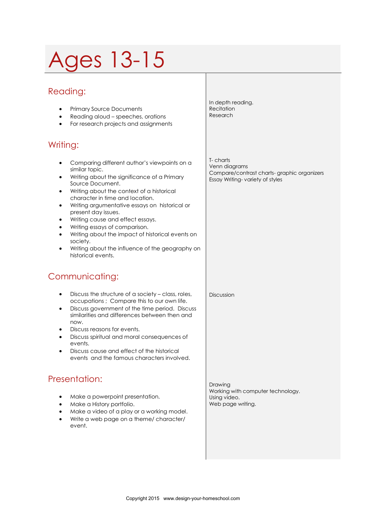# Ages 13-15

### Reading:

- Primary Source Documents Reading aloud – speeches, orations
- For research projects and assignments

#### Writing:

- Comparing different author's viewpoints on a similar topic.
- Writing about the significance of a Primary Source Document.
- Writing about the context of a historical character in time and location.
- Writing argumentative essays on historical or present day issues.
- Writing cause and effect essays.
- Writing essays of comparison.
- Writing about the impact of historical events on society.
- Writing about the influence of the geography on historical events.

### Communicating:

- Discuss the structure of a society class, roles, occupations ; Compare this to our own life.
- Discuss government of the time period. Discuss similarities and differences between then and now.
- Discuss reasons for events.
- Discuss spiritual and moral consequences of events.
- Discuss cause and effect of the historical events and the famous characters involved.

### Presentation:

- Make a powerpoint presentation.
- Make a History portfolio.
- Make a video of a play or a working model.
- Write a web page on a theme/ character/ event.

In depth reading. Recitation Research

T- charts Venn diagrams Compare/contrast charts- graphic organizers Essay Writing- variety of styles

Discussion

Drawing Working with computer technology. Using video. Web page writing.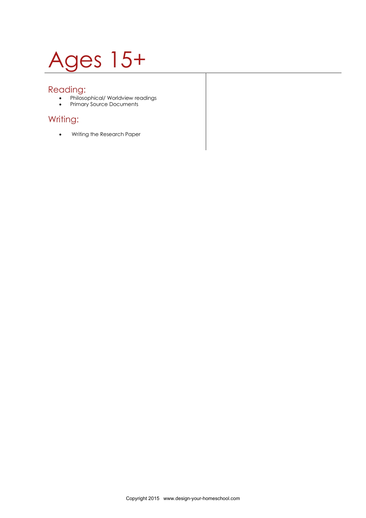# Ages 15+

#### Reading:

- Philosophical/ Worldview readings
- Primary Source Documents

### Writing:

Writing the Research Paper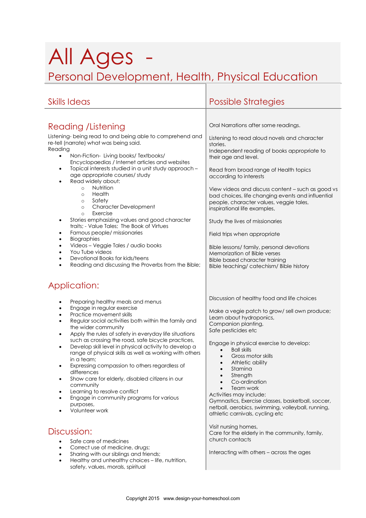## All Ages Personal Development, Health, Physical Education

| <b>Skills Ideas</b>                                                                                                                                                                                                                                                                                                                                                                                                                                                                                                                                                                                                                                                                                                                                                                                                                                                                    | <b>Possible Strategies</b>                                                                                                                                                                                                                                                                                                                                                                                                                                                                                                                                                                                                    |
|----------------------------------------------------------------------------------------------------------------------------------------------------------------------------------------------------------------------------------------------------------------------------------------------------------------------------------------------------------------------------------------------------------------------------------------------------------------------------------------------------------------------------------------------------------------------------------------------------------------------------------------------------------------------------------------------------------------------------------------------------------------------------------------------------------------------------------------------------------------------------------------|-------------------------------------------------------------------------------------------------------------------------------------------------------------------------------------------------------------------------------------------------------------------------------------------------------------------------------------------------------------------------------------------------------------------------------------------------------------------------------------------------------------------------------------------------------------------------------------------------------------------------------|
|                                                                                                                                                                                                                                                                                                                                                                                                                                                                                                                                                                                                                                                                                                                                                                                                                                                                                        |                                                                                                                                                                                                                                                                                                                                                                                                                                                                                                                                                                                                                               |
| <b>Reading / Listening</b>                                                                                                                                                                                                                                                                                                                                                                                                                                                                                                                                                                                                                                                                                                                                                                                                                                                             | Oral Narrations after some readings.                                                                                                                                                                                                                                                                                                                                                                                                                                                                                                                                                                                          |
| Listening-being read to and being able to comprehend and<br>re-tell (narrate) what was being said.<br>Reading<br>Non-Fiction-Living books/Textbooks/<br>$\bullet$<br>Encyclopaedias / Internet articles and websites<br>Topical interests studied in a unit study approach -<br>$\bullet$<br>age appropriate courses/ study<br>Read widely about:<br>$\bullet$<br>Nutrition<br>$\circ$<br>Health<br>$\circ$<br>Safety<br>$\circ$<br><b>Character Development</b><br>$\circ$<br>Exercise<br>$\circ$<br>Stories emphasizing values and good character<br>$\bullet$<br>traits: - Value Tales: The Book of Virtues<br>Famous people/ missionaries<br>٠<br>Biographies<br>$\bullet$<br>Videos - Veggie Tales / audio books<br>$\bullet$<br>You Tube videos<br>$\bullet$<br>Devotional Books for kids/teens<br>$\bullet$<br>Reading and discussing the Proverbs from the Bible;<br>$\bullet$ | Listening to read aloud novels and character<br>stories.<br>Independent reading of books appropriate to<br>their age and level.<br>Read from broad range of Health topics<br>according to interests<br>View videos and discuss content - such as good vs<br>bad choices, life changing events and influential<br>people, character values, veggie tales,<br>inspirational life examples,<br>Study the lives of missionaries<br>Field trips when appropriate<br>Bible lessons/ family, personal devotions<br>Memorization of Bible verses<br><b>Bible based character training</b><br>Bible teaching/ catechism/ Bible history |
| Application:                                                                                                                                                                                                                                                                                                                                                                                                                                                                                                                                                                                                                                                                                                                                                                                                                                                                           |                                                                                                                                                                                                                                                                                                                                                                                                                                                                                                                                                                                                                               |
| Preparing healthy meals and menus<br>$\bullet$<br>Engage in regular exercise<br>$\bullet$<br>Practice movement skills<br>٠<br>Regular social activities both within the family and<br>$\bullet$<br>the wider community<br>Apply the rules of safety in everyday life situations<br>$\bullet$<br>such as crossing the road, safe bicycle practices,<br>Develop skill level in physical activity to develop a<br>$\bullet$<br>range of physical skills as well as working with others<br>in a team;<br>Expressing compassion to others regardless of<br>$\bullet$<br>differences<br>Show care for elderly, disabled citizens in our<br>$\bullet$<br>community<br>Learning to resolve conflict<br>Engage in community programs for various<br>purposes,<br>Volunteer work                                                                                                                 | Discussion of healthy food and life choices<br>Make a vegie patch to grow/sell own produce;<br>Learn about hydroponics,<br>Companion planting,<br>Safe pesticides etc<br>Engage in physical exercise to develop:<br><b>Ball skills</b><br>Gross motor skills<br>Athletic ability<br>Stamina<br>Strength<br>Co-ordination<br>Team work<br>Activities may include:<br>Gymnastics, Exercise classes, basketball, soccer,<br>netball, aerobics, swimming, volleyball, running,<br>athletic carnivals, cycling etc                                                                                                                 |
| Discussion:<br>Safe care of medicines<br>Correct use of medicine, drugs;<br>Sharing with our siblings and friends;<br>$\bullet$<br>Healthy and unhealthy choices - life, nutrition,<br>$\bullet$                                                                                                                                                                                                                                                                                                                                                                                                                                                                                                                                                                                                                                                                                       | Visit nursing homes,<br>Care for the elderly in the community, family,<br>church contacts<br>Interacting with others - across the ages                                                                                                                                                                                                                                                                                                                                                                                                                                                                                        |

safety, values, morals, spiritual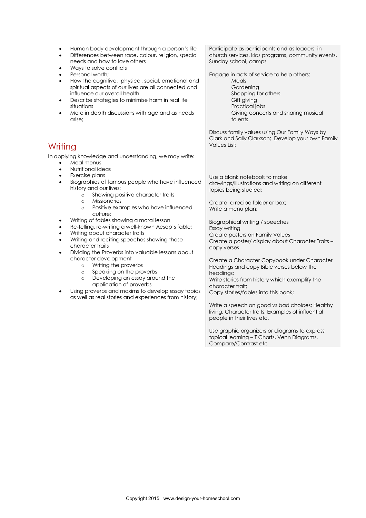| Participate as participants and as leaders in<br>church services, kids programs, community events,<br>Sunday school, camps<br>Engage in acts of service to help others:<br>Meals<br>Gardening<br>Shopping for others<br>Gift giving<br>Practical jobs<br>Giving concerts and sharing musical<br>talents<br>Discuss family values using Our Family Ways by                                                                                                                                                                                                                                                                                                                                                                                |
|------------------------------------------------------------------------------------------------------------------------------------------------------------------------------------------------------------------------------------------------------------------------------------------------------------------------------------------------------------------------------------------------------------------------------------------------------------------------------------------------------------------------------------------------------------------------------------------------------------------------------------------------------------------------------------------------------------------------------------------|
|                                                                                                                                                                                                                                                                                                                                                                                                                                                                                                                                                                                                                                                                                                                                          |
| Clark and Sally Clarkson; Develop your own Family                                                                                                                                                                                                                                                                                                                                                                                                                                                                                                                                                                                                                                                                                        |
| Use a blank notebook to make<br>drawings/illustrations and writing on different<br>topics being studied;<br>Create a recipe folder or box;<br>Write a menu plan;<br>Biographical writing / speeches<br>Create posters on Family Values<br>Create a poster/ display about Character Traits -<br>Create a Character Copybook under Character<br>Headings and copy Bible verses below the<br>Write stories from history which exemplify the<br>character trait;<br>Copy stories/fables into this book;<br>Write a speech on good vs bad choices; Healthy<br>living, Character traits, Examples of influential<br>people in their lives etc.<br>Use graphic organizers or diagrams to express<br>topical learning - T Charts, Venn Diagrams, |
|                                                                                                                                                                                                                                                                                                                                                                                                                                                                                                                                                                                                                                                                                                                                          |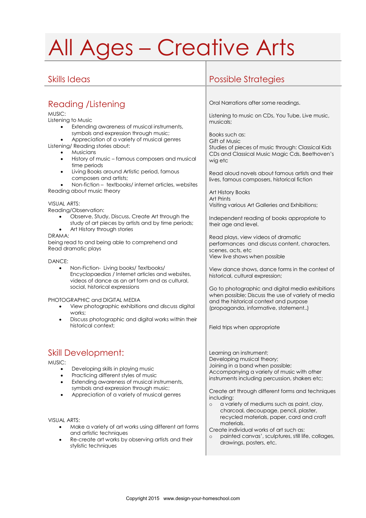# All Ages – Creative Arts

### Reading /Listening

#### MUSIC:

Listening to Music

- Extending awareness of musical instruments, symbols and expression through music;
- Appreciation of a variety of musical genres

Listening/ Reading stories about:

- Musicians
- History of music famous composers and musical time periods
- Living Books around Artistic period, famous composers and artists;
- Non-fiction textbooks/ internet articles, websites Reading about music theory

#### VISUAL ARTS:

Reading/Observation:

- Observe, Study, Discuss, Create Art through the study of art pieces by artists and by time periods;
- Art History through stories

#### DRAMA:

being read to and being able to comprehend and Read dramatic plays

#### DANCE:

 Non-Fiction- Living books/ Textbooks/ Encyclopaedias / Internet articles and websites, videos of dance as an art form and as cultural, social, historical expressions

#### PHOTOGRAPHIC and DIGITAL MEDIA

- View photographic exhibitions and discuss digital works;
- Discuss photographic and digital works within their historical context;

### Skill Development:

MUSIC:

- Developing skills in playing music
- Practicing different styles of music
- Extending awareness of musical instruments, symbols and expression through music;
- Appreciation of a variety of musical genres

#### VISUAL ARTS:

- Make a variety of art works using different art forms and artistic techniques
- Re-create art works by observing artists and their stylistic techniques

### Skills Ideas Possible Strategies

Oral Narrations after some readings.

Listening to music on CDs, You Tube, Live music, musicals;

Books such as: Gift of Music Studies of pieces of music through: Classical Kids CDs and Classical Music Magic Cds, Beethoven's wig etc.

Read aloud novels about famous artists and their lives, famous composers, historical fiction

Art History Books Art Prints Visiting various Art Galleries and Exhibitions;

Independent reading of books appropriate to their age and level.

Read plays, view videos of dramatic performances and discuss content, characters, scenes, acts, etc View live shows when possible

View dance shows, dance forms in the context of historical, cultural expression;

Go to photographic and digital media exhibitions when possible; Discuss the use of variety of media and the historical context and purpose (propaganda, informative, statement..)

Field trips when appropriate

Learning an instrument; Developing musical theory; Joining in a band when possible; Accompanying a variety of music with other instruments including percussion, shakers etc;

Create art through different forms and techniques including:

- o a variety of mediums such as paint, clay, charcoal, decoupage, pencil, plaster, recycled materials, paper, card and craft materials.
- Create individual works of art such as:
- painted canvas', sculptures, still life, collages, drawings, posters, etc.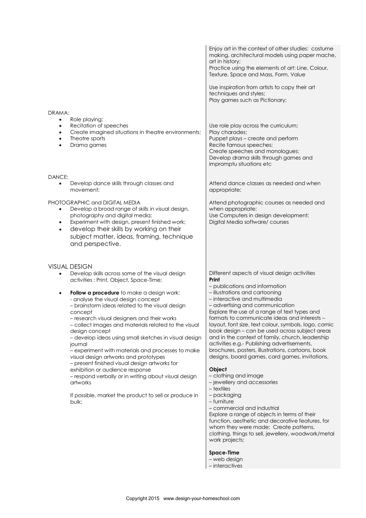|                                                                                                                                                                                                                                                                                                        | Enjoy art in the context of other studies: costume<br>making, architectural models using paper mache,<br>art in history;                                                                                                        |
|--------------------------------------------------------------------------------------------------------------------------------------------------------------------------------------------------------------------------------------------------------------------------------------------------------|---------------------------------------------------------------------------------------------------------------------------------------------------------------------------------------------------------------------------------|
|                                                                                                                                                                                                                                                                                                        | Practice using the elements of art: Line, Colour,<br>Texture, Space and Mass, Form, Value                                                                                                                                       |
|                                                                                                                                                                                                                                                                                                        | Use inspiration from artists to copy their art<br>techniques and styles;<br>Play games such as Pictionary;                                                                                                                      |
| DRAMA:                                                                                                                                                                                                                                                                                                 |                                                                                                                                                                                                                                 |
| Role playing;<br>Recitation of speeches<br>٠<br>Create imagined situations in theatre environments;<br>٠<br>Theatre sports<br>$\bullet$<br>Drama games<br>$\bullet$                                                                                                                                    | Use role play across the curriculum;<br>Play charades;<br>Puppet plays - create and perform<br>Recite famous speeches;<br>Create speeches and monologues;<br>Develop drama skills through games and<br>impromptu situations etc |
| DANCE:<br>Develop dance skills through classes and<br>$\bullet$<br>movement;                                                                                                                                                                                                                           | Attend dance classes as needed and when<br>appropriate;                                                                                                                                                                         |
| PHOTOGRAPHIC and DIGITAL MEDIA<br>Develop a broad range of skills in visual design,<br>photography and digital media;<br>Experiment with design, present finished work;<br>٠<br>develop their skills by working on their<br>$\bullet$<br>subject matter, ideas, framing, technique<br>and perspective. | Attend photographic courses as needed and<br>when appropriate;<br>Use Computers in design development;<br>Digital Media software/ courses                                                                                       |
| <b>VISUAL DESIGN</b>                                                                                                                                                                                                                                                                                   |                                                                                                                                                                                                                                 |
| Develop skills across some of the visual design<br>activities: Print, Object, Space-Time;                                                                                                                                                                                                              | Different aspects of visual design activities<br>Print                                                                                                                                                                          |
| Follow a procedure to make a design work:<br>$\bullet$                                                                                                                                                                                                                                                 | - publications and information<br>- illustrations and cartooning                                                                                                                                                                |
| - analyse the visual design concept<br>- brainstorm ideas related to the visual design                                                                                                                                                                                                                 | - interactive and multimedia<br>- advertising and communication                                                                                                                                                                 |
| concept                                                                                                                                                                                                                                                                                                | Explore the use of a range of text types and<br>formats to communicate ideas and interests -                                                                                                                                    |
| research visual designers and their works<br>- collect images and materials related to the visual                                                                                                                                                                                                      | layout, font size, text colour, symbols, logo, comic                                                                                                                                                                            |
| design concept<br>- develop ideas using small sketches in visual design                                                                                                                                                                                                                                | book design - can be used across subject areas<br>and in the context of family, church, leadership                                                                                                                              |
| journal<br>- experiment with materials and processes to make                                                                                                                                                                                                                                           | activities e.g.- Publishing advertisements,<br>brochures, posters, illustrations, cartoons, book                                                                                                                                |
| visual design artworks and prototypes<br>- present finished visual design artworks for                                                                                                                                                                                                                 | designs, board games, card games, invitations,                                                                                                                                                                                  |
| exhibition or audience response<br>- respond verbally or in writing about visual design                                                                                                                                                                                                                | Object<br>- clothing and image                                                                                                                                                                                                  |
| artworks                                                                                                                                                                                                                                                                                               | - jewellery and accessories<br>$-$ textiles                                                                                                                                                                                     |
| If possible, market the product to sell or produce in                                                                                                                                                                                                                                                  | - packaging<br>- furniture                                                                                                                                                                                                      |
| bulk;                                                                                                                                                                                                                                                                                                  | - commercial and industrial                                                                                                                                                                                                     |
|                                                                                                                                                                                                                                                                                                        | Explore a range of objects in terms of their<br>function, aesthetic and decorative features, for                                                                                                                                |
|                                                                                                                                                                                                                                                                                                        | whom they were made; Create patterns,<br>clothing, things to sell, jewellery, woodwork/metal<br>work projects;                                                                                                                  |
|                                                                                                                                                                                                                                                                                                        | <b>Space-Time</b>                                                                                                                                                                                                               |
|                                                                                                                                                                                                                                                                                                        | - web design<br>- interactives                                                                                                                                                                                                  |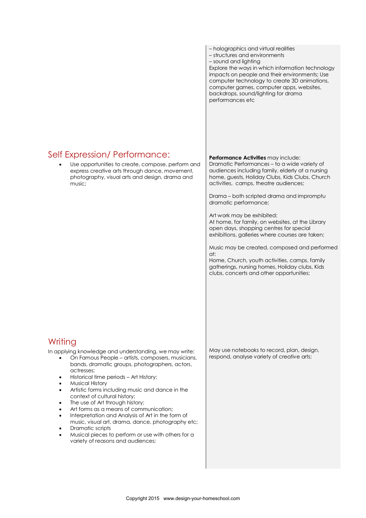### Self Expression/ Performance:

 Use opportunities to create, compose, perform and express creative arts through dance, movement, photography, visual arts and design, drama and music;

### **Writing**

In applying knowledge and understanding, we may write:

- On Famous People artists, composers, musicians, bands, dramatic groups, photographers, actors, actresses;
- Historical time periods Art History;
- Musical History
- Artistic forms including music and dance in the context of cultural history;
- The use of Art through history;
- Art forms as a means of communication;
- Interpretation and Analysis of Art in the form of
- music, visual art, drama, dance, photography etc; Dramatic scripts
- Musical pieces to perform or use with others for a variety of reasons and audiences;

– holographics and virtual realities – structures and environments – sound and lighting Explore the ways in which information technology impacts on people and their environments; Use computer technology to create 3D animations, computer games, computer apps, websites, backdrops, sound/lighting for drama performances etc

#### **Performance Activities** may include:

Dramatic Performances – to a wide variety of audiences including family, elderly at a nursing home, guests, Holiday Clubs, Kids Clubs, Church activities, camps, theatre audiences;

Drama – both scripted drama and impromptu dramatic performance;

Art work may be exhibited: At home, for family, on websites, at the Library open days, shopping centres for special exhibitions, galleries where courses are taken;

Music may be created, composed and performed at:

Home, Church, youth activities, camps, family gatherings, nursing homes, Holiday clubs, Kids clubs, concerts and other opportunities;

May use notebooks to record, plan, design, respond, analyse variety of creative arts;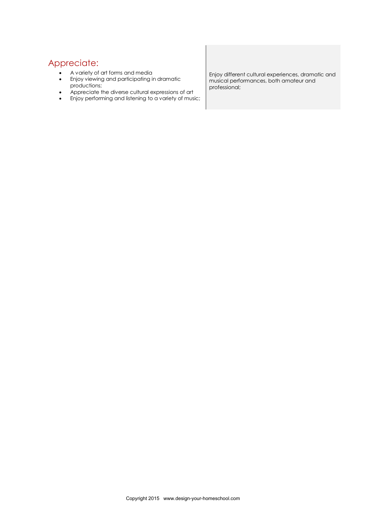#### Appreciate:

- A variety of art forms and media
- **•** Enjoy viewing and participating in dramatic productions;
- Appreciate the diverse cultural expressions of art
- Enjoy performing and listening to a variety of music;

Enjoy different cultural experiences, dramatic and musical performances, both amateur and professional;